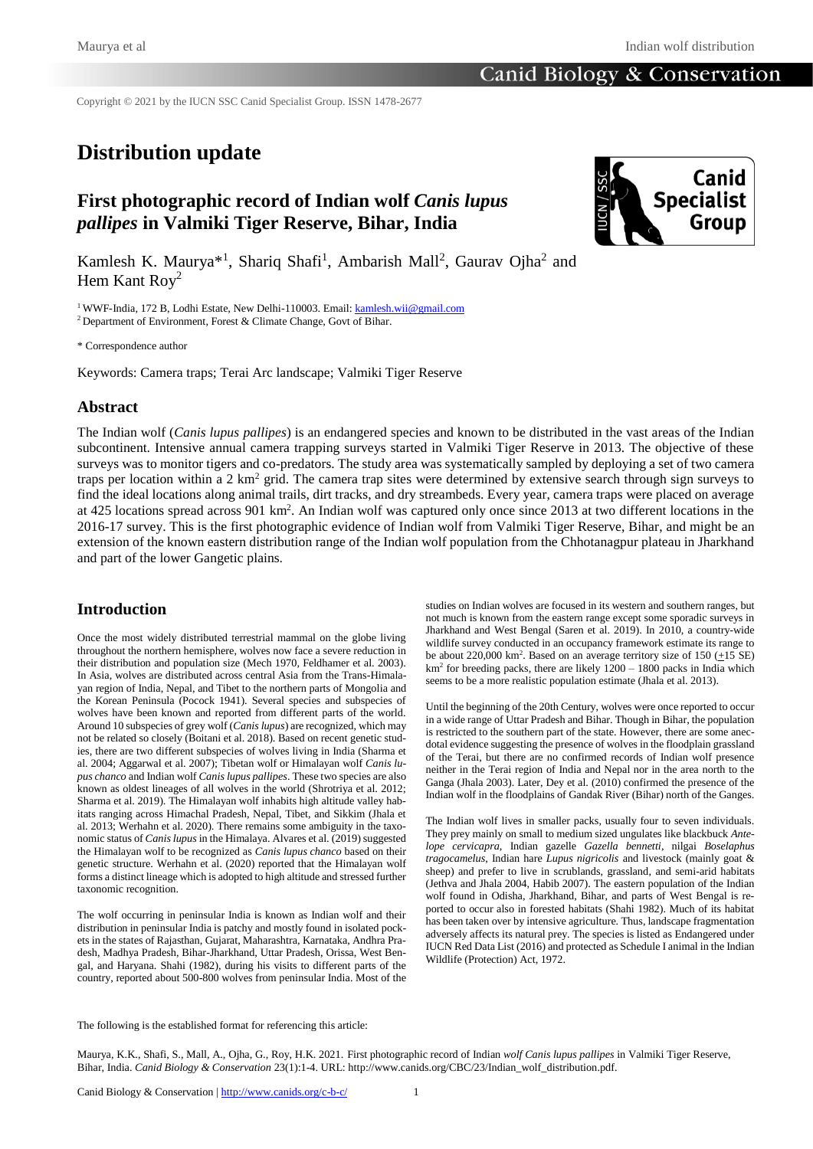Copyright © 2021 by the IUCN SSC Canid Specialist Group. ISSN 1478-2677

# **Distribution update**

# **First photographic record of Indian wolf** *Canis lupus pallipes* **in Valmiki Tiger Reserve, Bihar, India**



Kamlesh K. Maurya<sup>\*1</sup>, Shariq Shafi<sup>1</sup>, Ambarish Mall<sup>2</sup>, Gaurav Ojha<sup>2</sup> and Hem Kant Roy<sup>2</sup>

<sup>1</sup> WWF-India, 172 B, Lodhi Estate, New Delhi-110003. Email: **kamlesh.wii@gmail.com** 

<sup>2</sup> Department of Environment, Forest & Climate Change, Govt of Bihar.

\* Correspondence author

Keywords: Camera traps; Terai Arc landscape; Valmiki Tiger Reserve

#### **Abstract**

The Indian wolf (*Canis lupus pallipes*) is an endangered species and known to be distributed in the vast areas of the Indian subcontinent. Intensive annual camera trapping surveys started in Valmiki Tiger Reserve in 2013. The objective of these surveys was to monitor tigers and co-predators. The study area was systematically sampled by deploying a set of two camera traps per location within a 2 km<sup>2</sup> grid. The camera trap sites were determined by extensive search through sign surveys to find the ideal locations along animal trails, dirt tracks, and dry streambeds. Every year, camera traps were placed on average at 425 locations spread across 901 km<sup>2</sup>. An Indian wolf was captured only once since 2013 at two different locations in the 2016-17 survey. This is the first photographic evidence of Indian wolf from Valmiki Tiger Reserve, Bihar, and might be an extension of the known eastern distribution range of the Indian wolf population from the Chhotanagpur plateau in Jharkhand and part of the lower Gangetic plains.

### **Introduction**

Once the most widely distributed terrestrial mammal on the globe living throughout the northern hemisphere, wolves now face a severe reduction in their distribution and population size (Mech 1970, Feldhamer et al. 2003). In Asia, wolves are distributed across central Asia from the Trans-Himalayan region of India, Nepal, and Tibet to the northern parts of Mongolia and the Korean Peninsula (Pocock 1941). Several species and subspecies of wolves have been known and reported from different parts of the world. Around 10 subspecies of grey wolf (*Canis lupus*) are recognized, which may not be related so closely (Boitani et al. 2018). Based on recent genetic studies, there are two different subspecies of wolves living in India (Sharma et al. 2004; Aggarwal et al. 2007); Tibetan wolf or Himalayan wolf *Canis lupus chanco* and Indian wolf *Canis lupus pallipes*. These two species are also known as oldest lineages of all wolves in the world (Shrotriya et al. 2012; Sharma et al. 2019). The Himalayan wolf inhabits high altitude valley habitats ranging across Himachal Pradesh, Nepal, Tibet, and Sikkim (Jhala et al. 2013; Werhahn et al. 2020). There remains some ambiguity in the taxonomic status of *Canis lupus* in the Himalaya. Alvares et al. (2019) suggested the Himalayan wolf to be recognized as *Canis lupus chanco* based on their genetic structure. Werhahn et al. (2020) reported that the Himalayan wolf forms a distinct lineage which is adopted to high altitude and stressed further taxonomic recognition.

The wolf occurring in peninsular India is known as Indian wolf and their distribution in peninsular India is patchy and mostly found in isolated pockets in the states of Rajasthan, Gujarat, Maharashtra, Karnataka, Andhra Pradesh, Madhya Pradesh, Bihar-Jharkhand, Uttar Pradesh, Orissa, West Bengal, and Haryana. Shahi (1982), during his visits to different parts of the country, reported about 500-800 wolves from peninsular India. Most of the studies on Indian wolves are focused in its western and southern ranges, but not much is known from the eastern range except some sporadic surveys in Jharkhand and West Bengal (Saren et al. 2019). In 2010, a country-wide wildlife survey conducted in an occupancy framework estimate its range to be about 220,000 km<sup>2</sup>. Based on an average territory size of 150  $(\pm 15 \text{ SE})$  $km<sup>2</sup>$  for breeding packs, there are likely  $1200 - 1800$  packs in India which seems to be a more realistic population estimate (Jhala et al. 2013).

Until the beginning of the 20th Century, wolves were once reported to occur in a wide range of Uttar Pradesh and Bihar. Though in Bihar, the population is restricted to the southern part of the state. However, there are some anecdotal evidence suggesting the presence of wolves in the floodplain grassland of the Terai, but there are no confirmed records of Indian wolf presence neither in the Terai region of India and Nepal nor in the area north to the Ganga (Jhala 2003). Later, Dey et al. (2010) confirmed the presence of the Indian wolf in the floodplains of Gandak River (Bihar) north of the Ganges.

The Indian wolf lives in smaller packs, usually four to seven individuals. They prey mainly on small to medium sized ungulates like blackbuck *Antelope cervicapra*, Indian gazelle *Gazella bennetti*, nilgai *Boselaphus tragocamelus*, Indian hare *Lupus nigricolis* and livestock (mainly goat & sheep) and prefer to live in scrublands, grassland, and semi-arid habitats (Jethva and Jhala 2004, Habib 2007). The eastern population of the Indian wolf found in Odisha, Jharkhand, Bihar, and parts of West Bengal is reported to occur also in forested habitats (Shahi 1982). Much of its habitat has been taken over by intensive agriculture. Thus, landscape fragmentation adversely affects its natural prey. The species is listed as Endangered under IUCN Red Data List (2016) and protected as Schedule I animal in the Indian Wildlife (Protection) Act, 1972.

The following is the established format for referencing this article:

Maurya, K.K., Shafi, S., Mall, A., Ojha, G., Roy, H.K. 2021. First photographic record of Indian *wolf Canis lupus pallipes* in Valmiki Tiger Reserve, Bihar, India. *Canid Biology & Conservation* 23(1):1-4. URL: http://www.canids.org/CBC/23/Indian\_wolf\_distribution.pdf.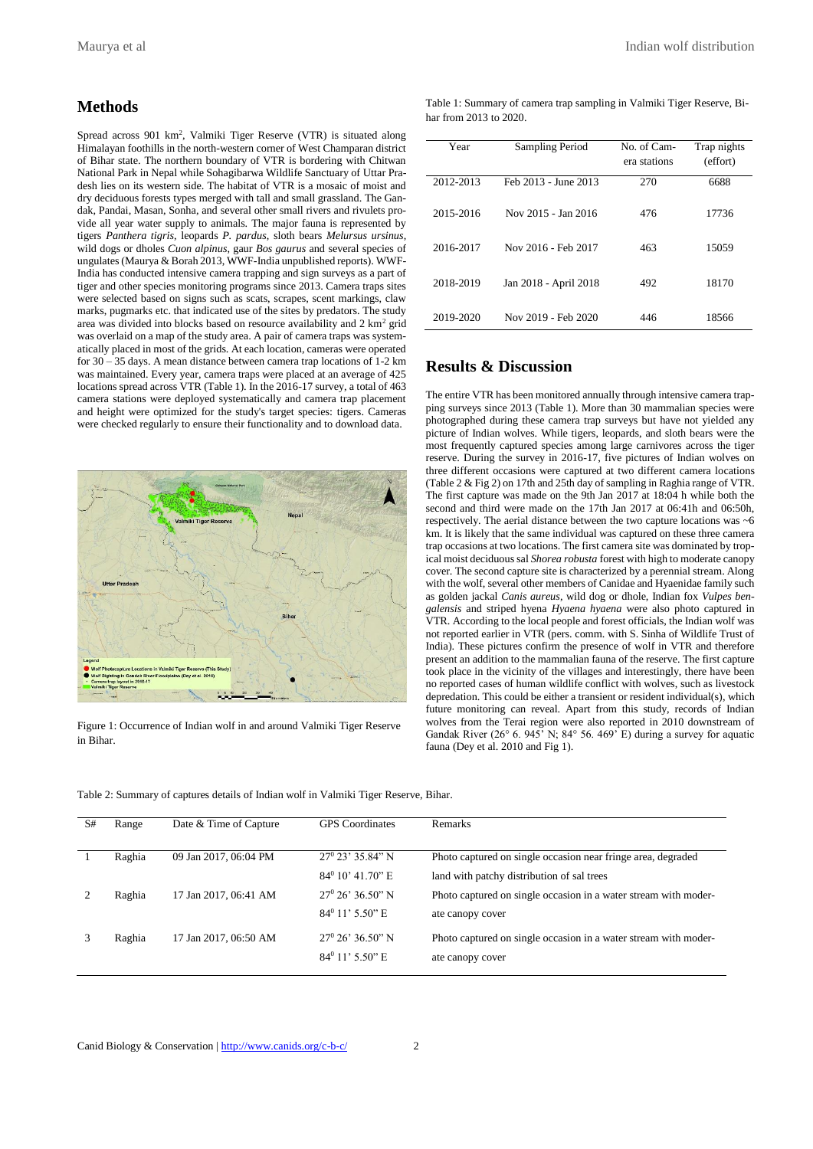#### **Methods**

Spread across 901 km<sup>2</sup>, Valmiki Tiger Reserve (VTR) is situated along Himalayan foothills in the north-western corner of West Champaran district of Bihar state. The northern boundary of VTR is bordering with Chitwan National Park in Nepal while Sohagibarwa Wildlife Sanctuary of Uttar Pradesh lies on its western side. The habitat of VTR is a mosaic of moist and dry deciduous forests types merged with tall and small grassland. The Gandak, Pandai, Masan, Sonha, and several other small rivers and rivulets provide all year water supply to animals. The major fauna is represented by tigers *Panthera tigris*, leopards *P. pardus*, sloth bears *Melursus ursinus*, wild dogs or dholes *Cuon alpinus*, gaur *Bos gaurus* and several species of ungulates (Maurya & Borah 2013, WWF-India unpublished reports). WWF-India has conducted intensive camera trapping and sign surveys as a part of tiger and other species monitoring programs since 2013. Camera traps sites were selected based on signs such as scats, scrapes, scent markings, claw marks, pugmarks etc. that indicated use of the sites by predators. The study area was divided into blocks based on resource availability and  $2 \text{ km}^2$  grid was overlaid on a map of the study area. A pair of camera traps was systematically placed in most of the grids. At each location, cameras were operated for 30 – 35 days. A mean distance between camera trap locations of 1-2 km was maintained. Every year, camera traps were placed at an average of 425 locations spread across VTR (Table 1). In the 2016-17 survey, a total of 463 camera stations were deployed systematically and camera trap placement and height were optimized for the study's target species: tigers. Cameras were checked regularly to ensure their functionality and to download data.



Figure 1: Occurrence of Indian wolf in and around Valmiki Tiger Reserve in Bihar.

| Table 1: Summary of camera trap sampling in Valmiki Tiger Reserve, Bi- |  |  |
|------------------------------------------------------------------------|--|--|
| har from 2013 to 2020.                                                 |  |  |

| Year      | Sampling Period       | No. of Cam-<br>era stations | Trap nights<br>(effort) |
|-----------|-----------------------|-----------------------------|-------------------------|
| 2012-2013 | Feb 2013 - June 2013  | 270                         | 6688                    |
| 2015-2016 | Nov 2015 - Jan 2016   | 476                         | 17736                   |
| 2016-2017 | Nov 2016 - Feb 2017   | 463                         | 15059                   |
| 2018-2019 | Jan 2018 - April 2018 | 492                         | 18170                   |
| 2019-2020 | Nov 2019 - Feb 2020   | 446                         | 18566                   |

## **Results & Discussion**

The entire VTR has been monitored annually through intensive camera trapping surveys since 2013 (Table 1). More than 30 mammalian species were photographed during these camera trap surveys but have not yielded any picture of Indian wolves. While tigers, leopards, and sloth bears were the most frequently captured species among large carnivores across the tiger reserve. During the survey in 2016-17, five pictures of Indian wolves on three different occasions were captured at two different camera locations (Table 2 & Fig 2) on 17th and 25th day of sampling in Raghia range of VTR. The first capture was made on the 9th Jan 2017 at 18:04 h while both the second and third were made on the 17th Jan 2017 at 06:41h and 06:50h, respectively. The aerial distance between the two capture locations was ~6 km. It is likely that the same individual was captured on these three camera trap occasions at two locations. The first camera site was dominated by tropical moist deciduous sal *Shorea robusta* forest with high to moderate canopy cover. The second capture site is characterized by a perennial stream. Along with the wolf, several other members of Canidae and Hyaenidae family such as golden jackal *Canis aureus*, wild dog or dhole, Indian fox *Vulpes bengalensis* and striped hyena *Hyaena hyaena* were also photo captured in VTR. According to the local people and forest officials, the Indian wolf was not reported earlier in VTR (pers. comm. with S. Sinha of Wildlife Trust of India). These pictures confirm the presence of wolf in VTR and therefore present an addition to the mammalian fauna of the reserve. The first capture took place in the vicinity of the villages and interestingly, there have been no reported cases of human wildlife conflict with wolves, such as livestock depredation. This could be either a transient or resident individual(s), which future monitoring can reveal. Apart from this study, records of Indian wolves from the Terai region were also reported in 2010 downstream of Gandak River (26 $\degree$  6. 945' N; 84 $\degree$  56. 469' E) during a survey for aquatic fauna (Dey et al. 2010 and Fig 1).

| Table 2: Summary of captures details of Indian wolf in Valmiki Tiger Reserve, Bihar. |  |
|--------------------------------------------------------------------------------------|--|
|                                                                                      |  |

| S# | Range  | Date & Time of Capture | <b>GPS</b> Coordinates    | <b>Remarks</b>                                                  |
|----|--------|------------------------|---------------------------|-----------------------------------------------------------------|
|    | Raghia | 09 Jan 2017, 06:04 PM  | $27^{\circ}$ 23' 35.84" N | Photo captured on single occasion near fringe area, degraded    |
|    |        |                        | $84^{\circ}$ 10' 41.70" E | land with patchy distribution of sal trees                      |
|    | Raghia | 17 Jan 2017, 06:41 AM  | $27^{\circ}$ 26' 36.50" N | Photo captured on single occasion in a water stream with moder- |
|    |        |                        | $84^{\circ}$ 11' 5.50" E  | ate canopy cover                                                |
|    | Raghia | 17 Jan 2017, 06:50 AM  | $27^{\circ}$ 26' 36.50" N | Photo captured on single occasion in a water stream with moder- |
|    |        |                        | $84^{\circ}$ 11' 5.50" E  | ate canopy cover                                                |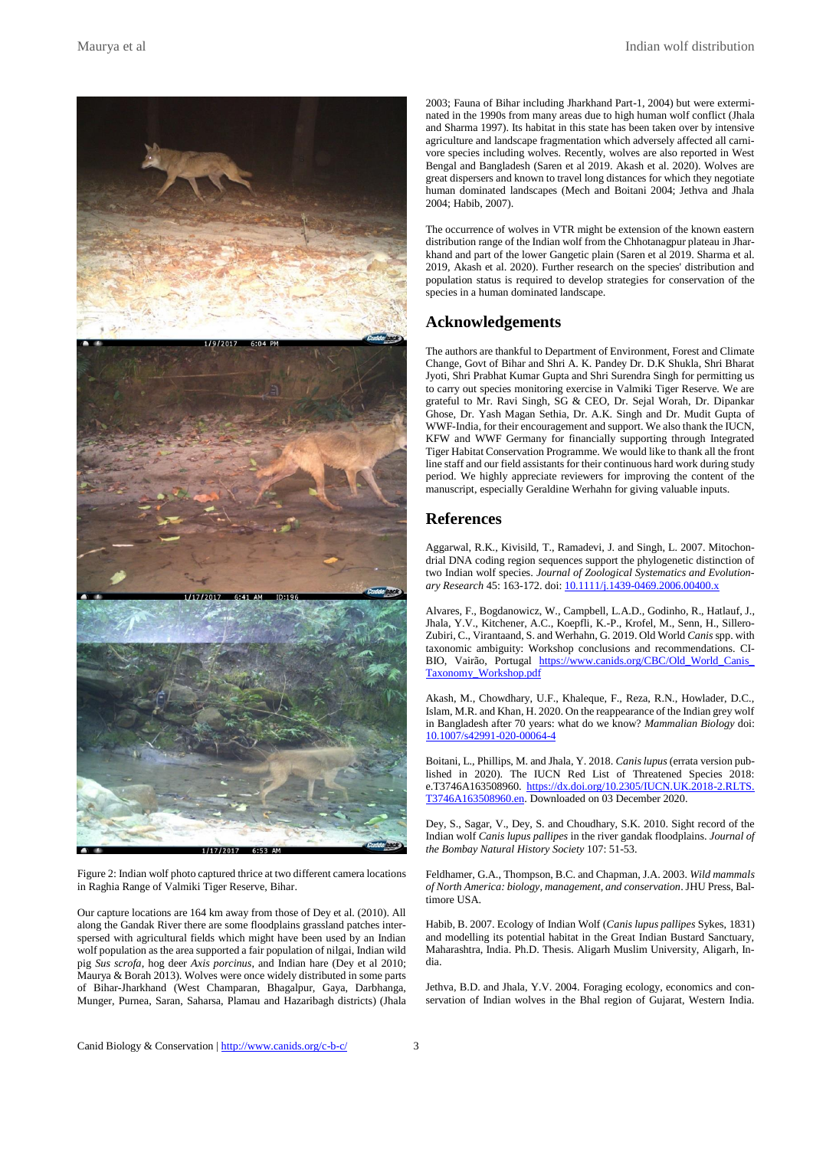

Figure 2: Indian wolf photo captured thrice at two different camera locations in Raghia Range of Valmiki Tiger Reserve, Bihar.

Our capture locations are 164 km away from those of Dey et al. (2010). All along the Gandak River there are some floodplains grassland patches interspersed with agricultural fields which might have been used by an Indian wolf population as the area supported a fair population of nilgai, Indian wild pig *Sus scrofa*, hog deer *Axis porcinus*, and Indian hare (Dey et al 2010; Maurya & Borah 2013). Wolves were once widely distributed in some parts of Bihar-Jharkhand (West Champaran, Bhagalpur, Gaya, Darbhanga, Munger, Purnea, Saran, Saharsa, Plamau and Hazaribagh districts) (Jhala 2003; Fauna of Bihar including Jharkhand Part-1, 2004) but were exterminated in the 1990s from many areas due to high human wolf conflict (Jhala and Sharma 1997). Its habitat in this state has been taken over by intensive agriculture and landscape fragmentation which adversely affected all carnivore species including wolves. Recently, wolves are also reported in West Bengal and Bangladesh (Saren et al 2019. Akash et al. 2020). Wolves are great dispersers and known to travel long distances for which they negotiate human dominated landscapes (Mech and Boitani 2004; Jethva and Jhala 2004; Habib, 2007).

The occurrence of wolves in VTR might be extension of the known eastern distribution range of the Indian wolf from the Chhotanagpur plateau in Jharkhand and part of the lower Gangetic plain (Saren et al 2019. Sharma et al. 2019, Akash et al. 2020). Further research on the species' distribution and population status is required to develop strategies for conservation of the species in a human dominated landscape.

#### **Acknowledgements**

The authors are thankful to Department of Environment, Forest and Climate Change, Govt of Bihar and Shri A. K. Pandey Dr. D.K Shukla, Shri Bharat Jyoti, Shri Prabhat Kumar Gupta and Shri Surendra Singh for permitting us to carry out species monitoring exercise in Valmiki Tiger Reserve. We are grateful to Mr. Ravi Singh, SG & CEO, Dr. Sejal Worah, Dr. Dipankar Ghose, Dr. Yash Magan Sethia, Dr. A.K. Singh and Dr. Mudit Gupta of WWF-India, for their encouragement and support. We also thank the IUCN, KFW and WWF Germany for financially supporting through Integrated Tiger Habitat Conservation Programme. We would like to thank all the front line staff and our field assistants for their continuous hard work during study period. We highly appreciate reviewers for improving the content of the manuscript, especially Geraldine Werhahn for giving valuable inputs.

#### **References**

Aggarwal, R.K., Kivisild, T., Ramadevi, J. and Singh, L. 2007. Mitochondrial DNA coding region sequences support the phylogenetic distinction of two Indian wolf species. *Journal of Zoological Systematics and Evolution-*ary Research 45: 163-172. doi[: 10.1111/j.1439-0469.2006.00400.x](https://doi.org/10.1111/j.1439-0469.2006.00400.x)

Alvares, F., Bogdanowicz, W., Campbell, L.A.D., Godinho, R., Hatlauf, J., Jhala, Y.V., Kitchener, A.C., Koepfli, K.-P., Krofel, M., Senn, H., Sillero-Zubiri, C., Virantaand, S. and Werhahn, G. 2019. Old World *Canis* spp. with taxonomic ambiguity: Workshop conclusions and recommendations. CI-BIO, Vairão, Portugal [https://www.canids.org/CBC/Old\\_World\\_Canis\\_](https://www.canids.org/CBC/Old_World_Canis_Taxonomy_Workshop.pdf) [Taxonomy\\_Workshop.pdf](https://www.canids.org/CBC/Old_World_Canis_Taxonomy_Workshop.pdf)

Akash, M., Chowdhary, U.F., Khaleque, F., Reza, R.N., Howlader, D.C., Islam, M.R. and Khan, H. 2020. On the reappearance of the Indian grey wolf in Bangladesh after 70 years: what do we know? *Mammalian Biology* doi: [10.1007/s42991-020-00064-4](https://doi.org/10.1007/s42991-020-00064-4)

Boitani, L., Phillips, M. and Jhala, Y. 2018. *Canis lupus* (errata version published in 2020). The IUCN Red List of Threatened Species 2018: e.T3746A163508960. [https://dx.doi.org/10.2305/IUCN.UK.2018-2.RLTS.](https://dx.doi.org/10.2305/IUCN.UK.2018-2.RLTS.T3746A163508960.en) [T3746A163508960.en.](https://dx.doi.org/10.2305/IUCN.UK.2018-2.RLTS.T3746A163508960.en) Downloaded on 03 December 2020.

Dey, S., Sagar, V., Dey, S. and Choudhary, S.K. 2010. Sight record of the Indian wolf *Canis lupus pallipes* in the river gandak floodplains. *Journal of the Bombay Natural History Society* 107: 51-53.

Feldhamer, G.A., Thompson, B.C. and Chapman, J.A. 2003. *Wild mammals of North America: biology, management, and conservation*. JHU Press, Baltimore USA.

Habib, B. 2007. Ecology of Indian Wolf (*Canis lupus pallipes* Sykes, 1831) and modelling its potential habitat in the Great Indian Bustard Sanctuary, Maharashtra, India. Ph.D. Thesis. Aligarh Muslim University, Aligarh, India.

Jethva, B.D. and Jhala, Y.V. 2004. Foraging ecology, economics and conservation of Indian wolves in the Bhal region of Gujarat, Western India.